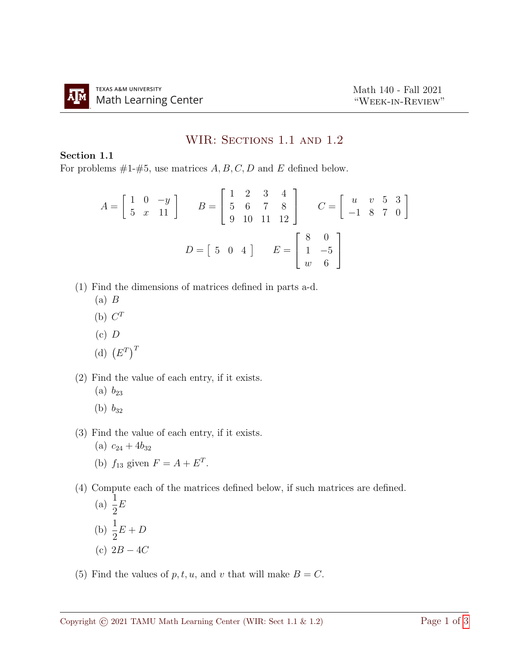## WIR: SECTIONS 1.1 AND 1.2

## Section 1.1

For problems  $#1-\#5$ , use matrices  $A, B, C, D$  and E defined below.

$$
A = \begin{bmatrix} 1 & 0 & -y \\ 5 & x & 11 \end{bmatrix} \qquad B = \begin{bmatrix} 1 & 2 & 3 & 4 \\ 5 & 6 & 7 & 8 \\ 9 & 10 & 11 & 12 \end{bmatrix} \qquad C = \begin{bmatrix} u & v & 5 & 3 \\ -1 & 8 & 7 & 0 \end{bmatrix}
$$

$$
D = \begin{bmatrix} 5 & 0 & 4 \end{bmatrix} \qquad E = \begin{bmatrix} 8 & 0 \\ 1 & -5 \\ w & 6 \end{bmatrix}
$$

- (1) Find the dimensions of matrices defined in parts a-d.
	- $(a)$   $B$
	- (b)  $C^T$
	- $(c)$  D
	- (d)  $(E^T)^T$
- (2) Find the value of each entry, if it exists.
	- (a)  $b_{23}$
	- (b)  $b_{32}$
- (3) Find the value of each entry, if it exists.
	- (a)  $c_{24} + 4b_{32}$ (b)  $f_{13}$  given  $F = A + E^T$ .

(4) Compute each of the matrices defined below, if such matrices are defined.

(a) 
$$
\frac{1}{2}E
$$
  
\n(b) 
$$
\frac{1}{2}E + D
$$
  
\n(c) 
$$
2B - 4C
$$

(5) Find the values of  $p, t, u$ , and v that will make  $B = C$ .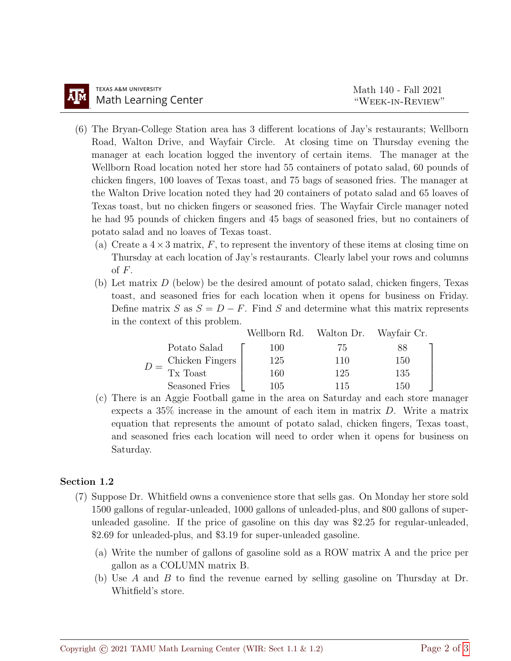- (6) The Bryan-College Station area has 3 different locations of Jay's restaurants; Wellborn Road, Walton Drive, and Wayfair Circle. At closing time on Thursday evening the manager at each location logged the inventory of certain items. The manager at the Wellborn Road location noted her store had 55 containers of potato salad, 60 pounds of chicken fingers, 100 loaves of Texas toast, and 75 bags of seasoned fries. The manager at the Walton Drive location noted they had 20 containers of potato salad and 65 loaves of Texas toast, but no chicken fingers or seasoned fries. The Wayfair Circle manager noted he had 95 pounds of chicken fingers and 45 bags of seasoned fries, but no containers of potato salad and no loaves of Texas toast.
	- (a) Create a  $4 \times 3$  matrix, F, to represent the inventory of these items at closing time on Thursday at each location of Jay's restaurants. Clearly label your rows and columns of  $F$ .
	- (b) Let matrix  $D$  (below) be the desired amount of potato salad, chicken fingers, Texas toast, and seasoned fries for each location when it opens for business on Friday. Define matrix S as  $S = D - F$ . Find S and determine what this matrix represents in the context of this problem.

|  |                 | Wellborn Rd. Walton Dr. Wayfair Cr. |     |     |
|--|-----------------|-------------------------------------|-----|-----|
|  | Potato Salad    | 100                                 | 75  |     |
|  | Chicken Fingers | 125                                 | 110 | 150 |
|  | Tx Toast        | 160                                 | 125 | 135 |
|  | Seasoned Fries  | 105                                 | 115 | 150 |

(c) There is an Aggie Football game in the area on Saturday and each store manager expects a 35% increase in the amount of each item in matrix D. Write a matrix equation that represents the amount of potato salad, chicken fingers, Texas toast, and seasoned fries each location will need to order when it opens for business on Saturday.

## Section 1.2

- (7) Suppose Dr. Whitfield owns a convenience store that sells gas. On Monday her store sold 1500 gallons of regular-unleaded, 1000 gallons of unleaded-plus, and 800 gallons of superunleaded gasoline. If the price of gasoline on this day was \$2.25 for regular-unleaded, \$2.69 for unleaded-plus, and \$3.19 for super-unleaded gasoline.
	- (a) Write the number of gallons of gasoline sold as a ROW matrix A and the price per gallon as a COLUMN matrix B.
	- (b) Use A and B to find the revenue earned by selling gasoline on Thursday at Dr. Whitfield's store.